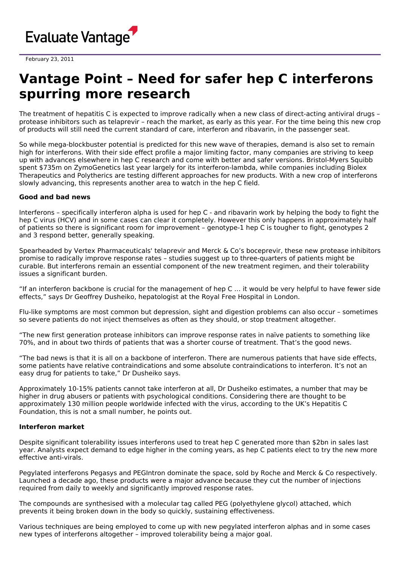

February 23, 2011

# **Vantage Point – Need for safer hep C interferons spurring more research**

The treatment of hepatitis C is expected to improve radically when a new class of direct-acting antiviral drugs – protease inhibitors such as telaprevir – reach the market, as early as this year. For the time being this new crop of products will still need the current standard of care, interferon and ribavarin, in the passenger seat.

So while mega-blockbuster potential is predicted for this new wave of therapies, demand is also set to remain high for interferons. With their side effect profile a major limiting factor, many companies are striving to keep up with advances elsewhere in hep C research and come with better and safer versions. Bristol-Myers Squibb spent \$735m on ZymoGenetics last year largely for its interferon-lambda, while companies including Biolex Therapeutics and Polytherics are testing different approaches for new products. With a new crop of interferons slowly advancing, this represents another area to watch in the hep C field.

# **Good and bad news**

Interferons – specifically interferon alpha is used for hep C - and ribavarin work by helping the body to fight the hep C virus (HCV) and in some cases can clear it completely. However this only happens in approximately half of patients so there is significant room for improvement – genotype-1 hep C is tougher to fight, genotypes 2 and 3 respond better, generally speaking.

Spearheaded by Vertex Pharmaceuticals' telaprevir and Merck & Co's boceprevir, these new protease inhibitors promise to radically improve response rates – studies suggest up to three-quarters of patients might be curable. But interferons remain an essential component of the new treatment regimen, and their tolerability issues a significant burden.

"If an interferon backbone is crucial for the management of hep C … it would be very helpful to have fewer side effects," says Dr Geoffrey Dusheiko, hepatologist at the Royal Free Hospital in London.

Flu-like symptoms are most common but depression, sight and digestion problems can also occur – sometimes so severe patients do not inject themselves as often as they should, or stop treatment altogether.

"The new first generation protease inhibitors can improve response rates in naïve patients to something like 70%, and in about two thirds of patients that was a shorter course of treatment. That's the good news.

"The bad news is that it is all on a backbone of interferon. There are numerous patients that have side effects, some patients have relative contraindications and some absolute contraindications to interferon. It's not an easy drug for patients to take," Dr Dusheiko says.

Approximately 10-15% patients cannot take interferon at all, Dr Dusheiko estimates, a number that may be higher in drug abusers or patients with psychological conditions. Considering there are thought to be approximately 130 million people worldwide infected with the virus, according to the UK's Hepatitis C Foundation, this is not a small number, he points out.

### **Interferon market**

Despite significant tolerability issues interferons used to treat hep C generated more than \$2bn in sales last year. Analysts expect demand to edge higher in the coming years, as hep C patients elect to try the new more effective anti-virals.

Pegylated interferons Pegasys and PEGIntron dominate the space, sold by Roche and Merck & Co respectively. Launched a decade ago, these products were a major advance because they cut the number of injections required from daily to weekly and significantly improved response rates.

The compounds are synthesised with a molecular tag called PEG (polyethylene glycol) attached, which prevents it being broken down in the body so quickly, sustaining effectiveness.

Various techniques are being employed to come up with new pegylated interferon alphas and in some cases new types of interferons altogether – improved tolerability being a major goal.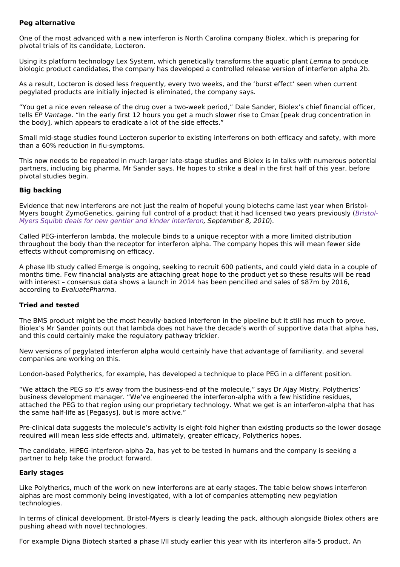# **Peg alternative**

One of the most advanced with a new interferon is North Carolina company Biolex, which is preparing for pivotal trials of its candidate, Locteron.

Using its platform technology Lex System, which genetically transforms the aquatic plant Lemna to produce biologic product candidates, the company has developed a controlled release version of interferon alpha 2b.

As a result, Locteron is dosed less frequently, every two weeks, and the 'burst effect' seen when current pegylated products are initially injected is eliminated, the company says.

"You get a nice even release of the drug over a two-week period," Dale Sander, Biolex's chief financial officer, tells EP Vantage. "In the early first 12 hours you get a much slower rise to Cmax [peak drug concentration in the body], which appears to eradicate a lot of the side effects."

Small mid-stage studies found Locteron superior to existing interferons on both efficacy and safety, with more than a 60% reduction in flu-symptoms.

This now needs to be repeated in much larger late-stage studies and Biolex is in talks with numerous potential partners, including big pharma, Mr Sander says. He hopes to strike a deal in the first half of this year, before pivotal studies begin.

## **Big backing**

Evidence that new interferons are not just the realm of hopeful young biotechs came last year when Bristol-Myers bought [ZymoGenetics,](http://www.epvantage.com/Universal/View.aspx?type=Story&id=223164&isEPVantage=yes) gaining full control of a product that it had licensed two years previously (Bristol-Myers Squibb deals for new gentler and kinder interferon, September 8, 2010).

Called PEG-interferon lambda, the molecule binds to a unique receptor with a more limited distribution throughout the body than the receptor for interferon alpha. The company hopes this will mean fewer side effects without compromising on efficacy.

A phase IIb study called Emerge is ongoing, seeking to recruit 600 patients, and could yield data in a couple of months time. Few financial analysts are attaching great hope to the product yet so these results will be read with interest - consensus data shows a launch in 2014 has been pencilled and sales of \$87m by 2016, according to EvaluatePharma.

# **Tried and tested**

The BMS product might be the most heavily-backed interferon in the pipeline but it still has much to prove. Biolex's Mr Sander points out that lambda does not have the decade's worth of supportive data that alpha has, and this could certainly make the regulatory pathway trickier.

New versions of pegylated interferon alpha would certainly have that advantage of familiarity, and several companies are working on this.

London-based Polytherics, for example, has developed a technique to place PEG in a different position.

"We attach the PEG so it's away from the business-end of the molecule," says Dr Ajay Mistry, Polytherics' business development manager. "We've engineered the interferon-alpha with a few histidine residues, attached the PEG to that region using our proprietary technology. What we get is an interferon-alpha that has the same half-life as [Pegasys], but is more active."

Pre-clinical data suggests the molecule's activity is eight-fold higher than existing products so the lower dosage required will mean less side effects and, ultimately, greater efficacy, Polytherics hopes.

The candidate, HiPEG-interferon-alpha-2a, has yet to be tested in humans and the company is seeking a partner to help take the product forward.

### **Early stages**

Like Polytherics, much of the work on new interferons are at early stages. The table below shows interferon alphas are most commonly being investigated, with a lot of companies attempting new pegylation technologies.

In terms of clinical development, Bristol-Myers is clearly leading the pack, although alongside Biolex others are pushing ahead with novel technologies.

For example Digna Biotech started a phase I/II study earlier this year with its interferon alfa-5 product. An